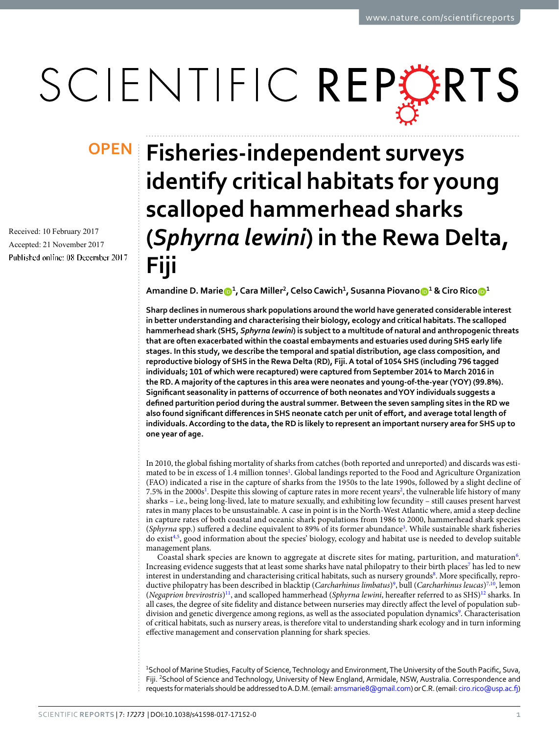# SCIENTIFIC REPERTS

Received: 10 February 2017 Accepted: 21 November 2017 Published online: 08 December 2017

## **Fisheries-independent surveys OPENidentify critical habitats for young scalloped hammerhead sharks (***Sphyrna lewini***) in the Rewa Delta, Fiji**

**Amandine D. Marie**  $\mathbf{D}^1$ , Cara Miller<sup>2</sup>, Celso Cawich<sup>1</sup>, Susanna Piovano $\mathbf{D}^1$  & Ciro Rico $\mathbf{D}^1$ 

**Sharp declines in numerous shark populations around the world have generated considerable interest in better understanding and characterising their biology, ecology and critical habitats. The scalloped hammerhead shark (SHS,** *Sphyrna lewini***) is subject to a multitude of natural and anthropogenic threats that are often exacerbated within the coastal embayments and estuaries used during SHS early life stages. In this study, we describe the temporal and spatial distribution, age class composition, and reproductive biology of SHS in the Rewa Delta (RD), Fiji. A total of 1054 SHS (including 796 tagged individuals; 101 of which were recaptured) were captured from September 2014 to March 2016 in the RD. A majority of the captures in this area were neonates and young-of-the-year (YOY) (99.8%). Signifcant seasonality in patterns of occurrence of both neonates and YOY individuals suggests a defned parturition period during the austral summer. Between the seven sampling sites in the RD we**  also found significant differences in SHS neonate catch per unit of effort, and average total length of **individuals. According to the data, the RD is likely to represent an important nursery area for SHS up to one year of age.**

In 2010, the global fshing mortality of sharks from catches (both reported and unreported) and discards was esti-mated to be in excess of [1](#page-8-0).4 million tonnes<sup>1</sup>. Global landings reported to the Food and Agriculture Organization (FAO) indicated a rise in the capture of sharks from the 1950s to the late 1990s, followed by a slight decline of 7.5% in the 2000s<sup>[1](#page-8-0)</sup>. Despite this slowing of capture rates in more recent years<sup>2</sup>, the vulnerable life history of many sharks – i.e., being long-lived, late to mature sexually, and exhibiting low fecundity – still causes present harvest rates in many places to be unsustainable. A case in point is in the North-West Atlantic where, amid a steep decline in capture rates of both coastal and oceanic shark populations from 1986 to 2000, hammerhead shark species (Sphyrna spp.) suffered a decline equivalent to 89% of its former abundance<sup>3</sup>. While sustainable shark fisheries do exist<sup>4[,5](#page-8-4)</sup>, good information about the species' biology, ecology and habitat use is needed to develop suitable management plans.

Coastal shark species are known to aggregate at discrete sites for mating, parturition, and maturation<sup>[6](#page-8-5)</sup>. Increasing evidence suggests that at least some sharks have natal philopatry to their birth places<sup>[7](#page-8-6)</sup> has led to new interest in understanding and characterising critical habitats, such as nursery grounds<sup>8</sup>. More specifically, reproductive philopatry has been described in blacktip (*Carcharhinus limbatus*)[9](#page-8-8) , bull (*Carcharhinus leucas*[\)7](#page-8-6)[,10,](#page-8-9) lemon (*Negaprion brevirostris*[\)11,](#page-9-0) and scalloped hammerhead (*Sphyrna lewini*, hereafer referred to as SHS[\)12](#page-9-1) sharks. In all cases, the degree of site fdelity and distance between nurseries may directly afect the level of population subdivision and genetic divergence among regions, as well as the associated population dynamics<sup>9</sup>. Characterisation of critical habitats, such as nursery areas, is therefore vital to understanding shark ecology and in turn informing efective management and conservation planning for shark species.

<sup>1</sup>School of Marine Studies, Faculty of Science, Technology and Environment, The University of the South Pacific, Suva, Fiji. <sup>2</sup>School of Science and Technology, University of New England, Armidale, NSW, Australia. Correspondence and requests for materials should be addressed to A.D.M. (email: [amsmarie8@gmail.com](mailto:amsmarie8@gmail.com)) or C.R. (email: [ciro.rico@usp.ac.f](mailto:ciro.rico@usp.ac.fj))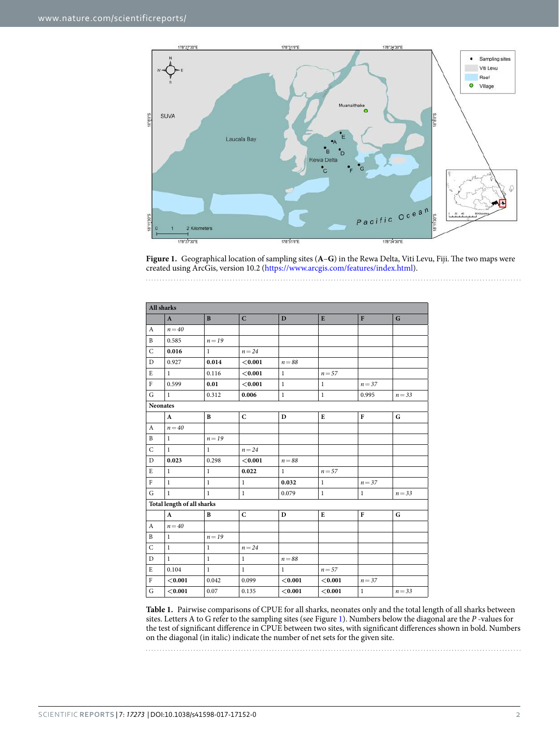

<span id="page-1-0"></span>Figure 1. Geographical location of sampling sites (A–G) in the Rewa Delta, Viti Levu, Fiji. The two maps were created using ArcGis, version 10.2 [\(https://www.arcgis.com/features/index.html](https://www.arcgis.com/features/index.html)).

| <b>All sharks</b> |                            |              |              |              |              |              |             |
|-------------------|----------------------------|--------------|--------------|--------------|--------------|--------------|-------------|
|                   | $\mathbf{A}$               | $\bf{B}$     | $\mathbf C$  | D            | E            | $\mathbf{F}$ | G           |
| A                 | $n = 40$                   |              |              |              |              |              |             |
| $\mathbf{B}$      | 0.585                      | $n = 19$     |              |              |              |              |             |
| $\mathsf{C}$      | 0.016                      | $\mathbf{1}$ | $n = 24$     |              |              |              |             |
| $\mathbf D$       | 0.927                      | 0.014        | < 0.001      | $n = 88$     |              |              |             |
| E                 | $\mathbf{1}$               | 0.116        | < 0.001      | $\mathbf{1}$ | $n = 57$     |              |             |
| ${\rm F}$         | 0.599                      | 0.01         | < 0.001      | $\mathbf{1}$ | $\mathbf{1}$ | $n = 37$     |             |
| G                 | $\mathbf{1}$               | 0.312        | 0.006        | $\,1$        | $\mathbf{1}$ | 0.995        | $n = 33$    |
| <b>Neonates</b>   |                            |              |              |              |              |              |             |
|                   | $\mathbf{A}$               | $\bf{B}$     | $\mathbf C$  | $\mathbf{D}$ | ${\bf E}$    | ${\bf F}$    | G           |
| A                 | $n = 40$                   |              |              |              |              |              |             |
| B                 | $\mathbf{1}$               | $n = 19$     |              |              |              |              |             |
| $\mathsf{C}$      | $\mathbf{1}$               | $\mathbf{1}$ | $n = 24$     |              |              |              |             |
| $\mathbf{D}$      | 0.023                      | 0.298        | < 0.001      | $n = 88$     |              |              |             |
| $\mathbf E$       | $\mathbf{1}$               | $\mathbf{1}$ | 0.022        | $\mathbf{1}$ | $n = 57$     |              |             |
| $\rm F$           | $\mathbf{1}$               | $\mathbf{1}$ | $\mathbf{1}$ | 0.032        | $\mathbf{1}$ | $n = 37$     |             |
| G                 | $\mathbf{1}$               | $\mathbf{1}$ | $\mathbf{1}$ | 0.079        | $\mathbf{1}$ | $\mathbf{1}$ | $n = 33$    |
|                   | Total length of all sharks |              |              |              |              |              |             |
|                   | $\mathbf{A}$               | B            | $\mathbf C$  | $\mathbf{D}$ | ${\bf E}$    | ${\bf F}$    | $\mathbf G$ |
| A                 | $n = 40$                   |              |              |              |              |              |             |
| B                 | $\mathbf{1}$               | $n = 19$     |              |              |              |              |             |
| $\mathsf{C}$      | $\mathbf{1}$               | $\mathbf{1}$ | $n = 24$     |              |              |              |             |
| $\mathbf D$       | $\mathbf{1}$               | $\mathbf{1}$ | $\mathbf{1}$ | $n = 88$     |              |              |             |
| E                 | 0.104                      | $\mathbf{1}$ | $\mathbf{1}$ | $\mathbf{1}$ | $n = 57$     |              |             |
| $\rm F$           | < 0.001                    | 0.042        | 0.099        | < 0.001      | < 0.001      | $n = 37$     |             |
| $\mathsf G$       | < 0.001                    | 0.07         | 0.135        | < 0.001      | < 0.001      | $\mathbf{1}$ | $n = 33$    |

**Table 1.** Pairwise comparisons of CPUE for all sharks, neonates only and the total length of all sharks between sites. Letters A to G refer to the sampling sites (see Figure [1](#page-1-0)). Numbers below the diagonal are the *P* -values for the test of signifcant diference in CPUE between two sites, with signifcant diferences shown in bold. Numbers on the diagonal (in italic) indicate the number of net sets for the given site.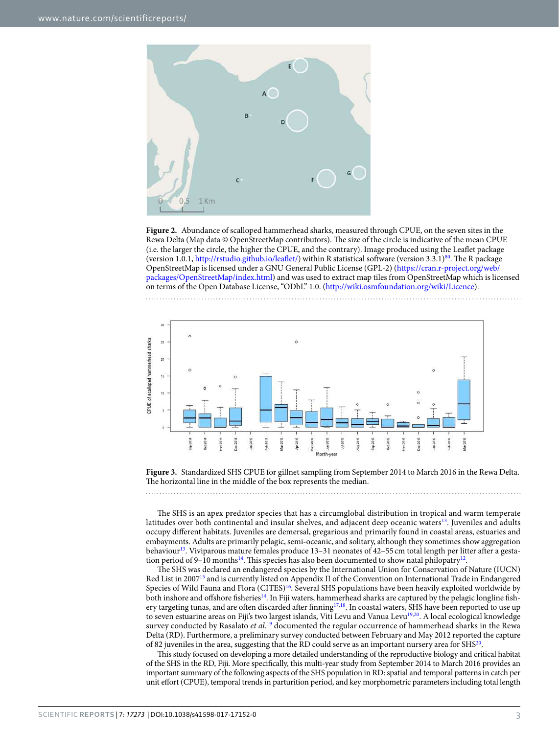

<span id="page-2-0"></span>**Figure 2.** Abundance of scalloped hammerhead sharks, measured through CPUE, on the seven sites in the Rewa Delta (Map data © OpenStreetMap contributors). The size of the circle is indicative of the mean CPUE (i.e. the larger the circle, the higher the CPUE, and the contrary). Image produced using the Leafet package (version 1.0.1, http://rstudio.github.io/leaflet/) within R statistical software (version  $3.3.1$ )<sup>80</sup>. The R package OpenStreetMap is licensed under a GNU General Public License (GPL-2) ([https://cran.r-project.org/web/](https://cran.r-project.org/web/packages/OpenStreetMap/index.html) [packages/OpenStreetMap/index.html](https://cran.r-project.org/web/packages/OpenStreetMap/index.html)) and was used to extract map tiles from OpenStreetMap which is licensed on terms of the Open Database License, "ODbL" 1.0. (<http://wiki.osmfoundation.org/wiki/Licence>).



<span id="page-2-1"></span>**Figure 3.** Standardized SHS CPUE for gillnet sampling from September 2014 to March 2016 in the Rewa Delta. The horizontal line in the middle of the box represents the median.

The SHS is an apex predator species that has a circumglobal distribution in tropical and warm temperate latitudes over both continental and insular shelves, and adjacent deep oceanic waters<sup>13</sup>. Juveniles and adults occupy diferent habitats. Juveniles are demersal, gregarious and primarily found in coastal areas, estuaries and embayments. Adults are primarily pelagic, semi-oceanic, and solitary, although they sometimes show aggregation behaviour<sup>[13](#page-9-2)</sup>. Viviparous mature females produce 13-31 neonates of 42-55 cm total length per litter after a gesta-tion period of 9–10 months<sup>[14](#page-9-3)</sup>. This species has also been documented to show natal philopatry<sup>12</sup>.

The SHS was declared an endangered species by the International Union for Conservation of Nature (IUCN) Red List in 2007[15](#page-9-4) and is currently listed on Appendix II of the Convention on International Trade in Endangered Species of Wild Fauna and Flora (CITES)<sup>16</sup>. Several SHS populations have been heavily exploited worldwide by both inshore and ofshore fsherie[s14.](#page-9-3) In Fiji waters, hammerhead sharks are captured by the pelagic longline fsh-ery targeting tunas, and are often discarded after finning<sup>17[,18](#page-9-7)</sup>. In coastal waters, SHS have been reported to use up to seven estuarine areas on Fiji's two largest islands, Viti Levu and Vanua Levu<sup>19,20</sup>. A local ecological knowledge survey conducted by Rasalato *et al*. [19](#page-9-8) documented the regular occurrence of hammerhead sharks in the Rewa Delta (RD). Furthermore, a preliminary survey conducted between February and May 2012 reported the capture of 82 juveniles in the area, suggesting that the RD could serve as an important nursery area for SH[S20.](#page-9-9)

Tis study focused on developing a more detailed understanding of the reproductive biology and critical habitat of the SHS in the RD, Fiji. More specifcally, this multi-year study from September 2014 to March 2016 provides an important summary of the following aspects of the SHS population in RD: spatial and temporal patterns in catch per unit efort (CPUE), temporal trends in parturition period, and key morphometric parameters including total length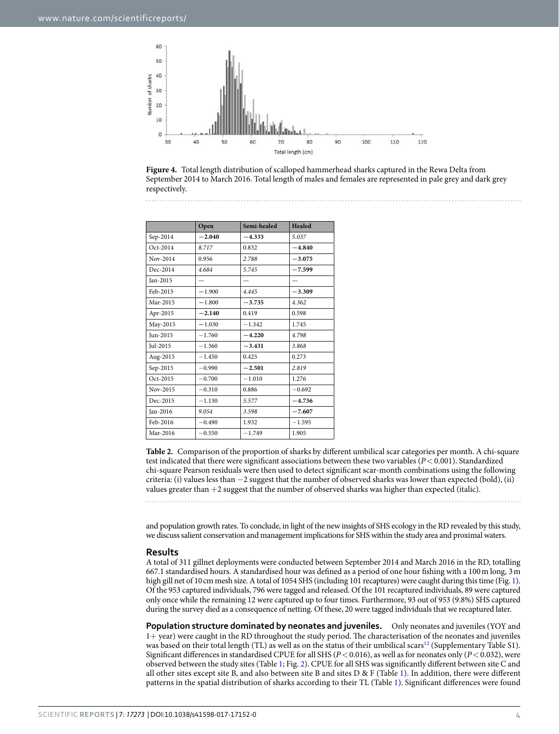

<span id="page-3-0"></span>

<span id="page-3-1"></span>

|          | Open     | Semi-healed | Healed   |
|----------|----------|-------------|----------|
| Sep-2014 | $-2.040$ | $-4.333$    | 5.037    |
| Oct-2014 | 8.717    | 0.832       | $-4.840$ |
| Nov-2014 | 0.956    | 2.788       | $-3.075$ |
| Dec-2014 | 4.684    | 5.745       | $-7.599$ |
| Jan-2015 |          |             |          |
| Feb-2015 | $-1.900$ | 4.445       | $-3.309$ |
| Mar-2015 | $-1.800$ | $-3.735$    | 4.362    |
| Apr-2015 | $-2.140$ | 0.419       | 0.598    |
| May-2015 | $-1.030$ | $-1.342$    | 1.745    |
| Jun-2015 | $-1.760$ | $-4.220$    | 4.798    |
| Jul-2015 | $-1.360$ | $-3.431$    | 3.868    |
| Aug-2015 | $-1.450$ | 0.425       | 0.273    |
| Sep-2015 | $-0.990$ | $-2.501$    | 2.819    |
| Oct-2015 | $-0.700$ | $-1.010$    | 1.276    |
| Nov-2015 | $-0.310$ | 0.886       | $-0.692$ |
| Dec-2015 | $-1.130$ | 5.577       | $-4.736$ |
| Jan-2016 | 9.054    | 3.598       | $-7.607$ |
| Feb-2016 | $-0.490$ | 1.932       | $-1.595$ |
| Mar-2016 | $-0.550$ | $-1.749$    | 1.905    |

**Table 2.** Comparison of the proportion of sharks by diferent umbilical scar categories per month. A chi-square test indicated that there were significant associations between these two variables (*P* < 0.001). Standardized chi-square Pearson residuals were then used to detect signifcant scar-month combinations using the following criteria: (i) values less than −2 suggest that the number of observed sharks was lower than expected (bold), (ii) values greater than +2 suggest that the number of observed sharks was higher than expected (italic).

and population growth rates. To conclude, in light of the new insights of SHS ecology in the RD revealed by this study, we discuss salient conservation and management implications for SHS within the study area and proximal waters.

#### **Results**

A total of 311 gillnet deployments were conducted between September 2014 and March 2016 in the RD, totalling 667.1 standardised hours. A standardised hour was defned as a period of one hour fshing with a 100m long, 3m high gill net of 10cm mesh size. A total of 1054 SHS (including 101 recaptures) were caught during this time (Fig. [1\)](#page-1-0). Of the 953 captured individuals, 796 were tagged and released. Of the 101 recaptured individuals, 89 were captured only once while the remaining 12 were captured up to four times. Furthermore, 93 out of 953 (9.8%) SHS captured during the survey died as a consequence of netting. Of these, 20 were tagged individuals that we recaptured later.

**Population structure dominated by neonates and juveniles.** Only neonates and juveniles (YOY and 1+ year) were caught in the RD throughout the study period. The characterisation of the neonates and juveniles was based on their total length (TL) as well as on the status of their umbilical scars<sup>[12](#page-9-1)</sup> (Supplementary Table S1). Significant differences in standardised CPUE for all SHS ( $P < 0.016$ ), as well as for neonates only ( $P < 0.032$ ), were observed between the study sites (Table 1; Fig. [2\)](#page-2-0). CPUE for all SHS was signifcantly diferent between site C and all other sites except site B, and also between site B and sites D & F (Table 1). In addition, there were different patterns in the spatial distribution of sharks according to their TL (Table 1). Signifcant diferences were found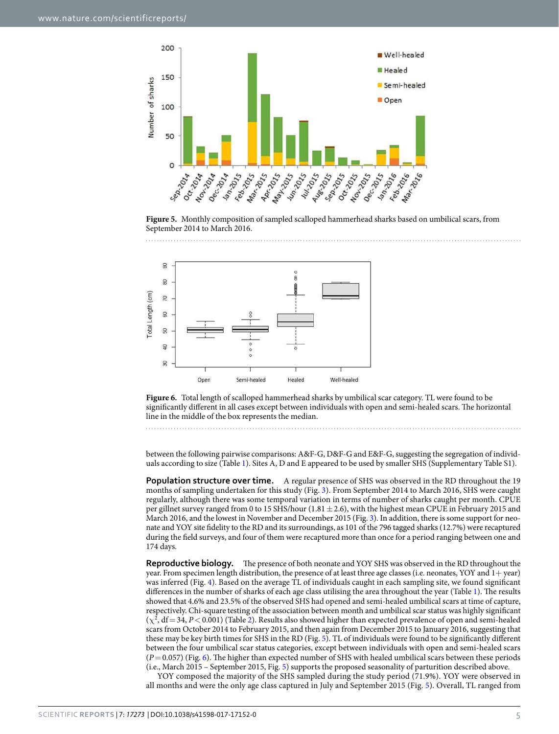

<span id="page-4-0"></span>**Figure 5.** Monthly composition of sampled scalloped hammerhead sharks based on umbilical scars, from September 2014 to March 2016.



<span id="page-4-1"></span>**Figure 6.** Total length of scalloped hammerhead sharks by umbilical scar category. TL were found to be significantly different in all cases except between individuals with open and semi-healed scars. The horizontal line in the middle of the box represents the median.

between the following pairwise comparisons: A&F-G, D&F-G and E&F-G, suggesting the segregation of individuals according to size (Table 1). Sites A, D and E appeared to be used by smaller SHS (Supplementary Table S1).

**Population structure over time.** A regular presence of SHS was observed in the RD throughout the 19 months of sampling undertaken for this study (Fig. [3](#page-2-1)). From September 2014 to March 2016, SHS were caught regularly, although there was some temporal variation in terms of number of sharks caught per month. CPUE per gillnet survey ranged from 0 to 15 SHS/hour  $(1.81 \pm 2.6)$ , with the highest mean CPUE in February 2015 and March 2016, and the lowest in November and December 2015 (Fig. [3](#page-2-1)). In addition, there is some support for neonate and YOY site fdelity to the RD and its surroundings, as 101 of the 796 tagged sharks (12.7%) were recaptured during the feld surveys, and four of them were recaptured more than once for a period ranging between one and 174 days.

**Reproductive biology.** The presence of both neonate and YOY SHS was observed in the RD throughout the year. From specimen length distribution, the presence of at least three age classes (i.e. neonates, YOY and 1+ year) was inferred (Fig. [4\)](#page-3-0). Based on the average TL of individuals caught in each sampling site, we found signifcant differences in the number of sharks of each age class utilising the area throughout the year (Table 1). The results showed that 4.6% and 23.5% of the observed SHS had opened and semi-healed umbilical scars at time of capture, respectively. Chi-square testing of the association between month and umbilical scar status was highly signifcant  $(\chi^2, df = 34, P < 0.001)$  (Table [2](#page-3-1)). Results also showed higher than expected prevalence of open and semi-healed scars from October 2014 to February 2015, and then again from December 2015 to January 2016, suggesting that these may be key birth times for SHS in the RD (Fig. [5](#page-4-0)). TL of individuals were found to be signifcantly diferent between the four umbilical scar status categories, except between individuals with open and semi-healed scars (*P*=0.057) (Fig. [6](#page-4-1)). Te higher than expected number of SHS with healed umbilical scars between these periods (i.e., March 2015 – September 2015, Fig. [5\)](#page-4-0) supports the proposed seasonality of parturition described above.

YOY composed the majority of the SHS sampled during the study period (71.9%). YOY were observed in all months and were the only age class captured in July and September 2015 (Fig. [5\)](#page-4-0). Overall, TL ranged from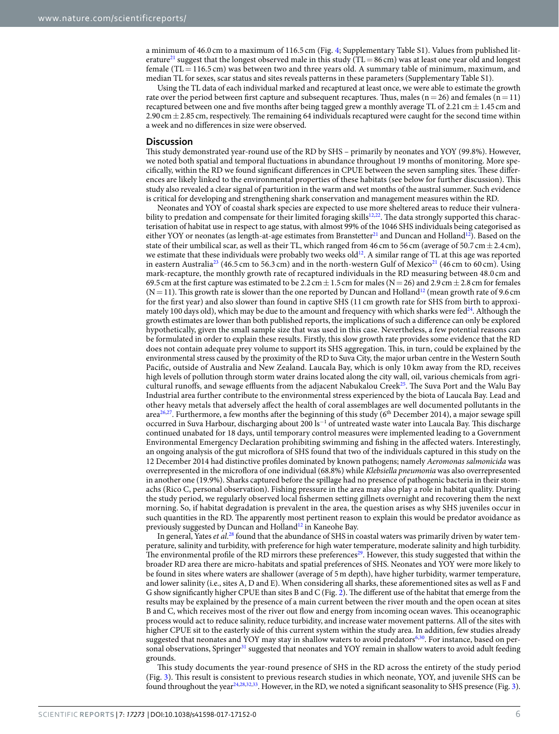a minimum of 46.0 cm to a maximum of 116.5 cm (Fig. [4](#page-3-0); Supplementary Table S1). Values from published literature<sup>21</sup> suggest that the longest observed male in this study (TL=86 cm) was at least one year old and longest female ( $TL = 116.5$  cm) was between two and three years old. A summary table of minimum, maximum, and median TL for sexes, scar status and sites reveals patterns in these parameters (Supplementary Table S1).

Using the TL data of each individual marked and recaptured at least once, we were able to estimate the growth rate over the period between first capture and subsequent recaptures. Thus, males ( $n=26$ ) and females ( $n=11$ ) recaptured between one and five months after being tagged grew a monthly average TL of 2.21 cm $\pm$  1.45 cm and 2.90 cm  $\pm$  2.85 cm, respectively. The remaining 64 individuals recaptured were caught for the second time within a week and no diferences in size were observed.

#### **Discussion**

Tis study demonstrated year-round use of the RD by SHS – primarily by neonates and YOY (99.8%). However, we noted both spatial and temporal fuctuations in abundance throughout 19 months of monitoring. More specifically, within the RD we found significant differences in CPUE between the seven sampling sites. These differences are likely linked to the environmental properties of these habitats (see below for further discussion). Tis study also revealed a clear signal of parturition in the warm and wet months of the austral summer. Such evidence is critical for developing and strengthening shark conservation and management measures within the RD.

Neonates and YOY of coastal shark species are expected to use more sheltered areas to reduce their vulnera-bility to predation and compensate for their limited foraging skills<sup>[12](#page-9-1),[22](#page-9-11)</sup>. The data strongly supported this characterisation of habitat use in respect to age status, with almost 99% of the 1046 SHS individuals being categorised as either YOY or neonates (as length-at-age estimates from Branstetter<sup>21</sup> and Duncan and Holland<sup>12</sup>). Based on the state of their umbilical scar, as well as their TL, which ranged from 46 cm to 56 cm (average of 50.7 cm  $\pm$  2.4 cm), we estimate that these individuals were probably two weeks old<sup>[12](#page-9-1)</sup>. A similar range of TL at this age was reported in eastern Australia<sup>23</sup> (46.5 cm to 56.3 cm) and in the north-western Gulf of Mexico<sup>21</sup> (46 cm to 60 cm). Using mark-recapture, the monthly growth rate of recaptured individuals in the RD measuring between 48.0 cm and 69.5 cm at the first capture was estimated to be 2.2 cm  $\pm$  1.5 cm for males (N = 26) and 2.9 cm  $\pm$  2.8 cm for females  $(N=11)$ . This growth rate is slower than the one reported by Duncan and Holland<sup>[12](#page-9-1)</sup> (mean growth rate of 9.6 cm for the frst year) and also slower than found in captive SHS (11 cm growth rate for SHS from birth to approximately 100 days old), which may be due to the amount and frequency with which sharks were fed $24$ . Although the growth estimates are lower than both published reports, the implications of such a diference can only be explored hypothetically, given the small sample size that was used in this case. Nevertheless, a few potential reasons can be formulated in order to explain these results. Firstly, this slow growth rate provides some evidence that the RD does not contain adequate prey volume to support its SHS aggregation. Tis, in turn, could be explained by the environmental stress caused by the proximity of the RD to Suva City, the major urban centre in the Western South Pacifc, outside of Australia and New Zealand. Laucala Bay, which is only 10 km away from the RD, receives high levels of pollution through storm water drains located along the city wall, oil, various chemicals from agricultural runoffs, and sewage effluents from the adjacent Nabukalou Creek<sup>25</sup>. The Suva Port and the Walu Bay Industrial area further contribute to the environmental stress experienced by the biota of Laucala Bay. Lead and other heavy metals that adversely afect the health of coral assemblages are well documented pollutants in the area<sup>[26](#page-9-15),[27](#page-9-16)</sup>. Furthermore, a few months after the beginning of this study (6<sup>th</sup> December 2014), a major sewage spill occurred in Suva Harbour, discharging about 200 ls<sup>-1</sup> of untreated waste water into Laucala Bay. This discharge continued unabated for 18 days, until temporary control measures were implemented leading to a Government Environmental Emergency Declaration prohibiting swimming and fshing in the afected waters. Interestingly, an ongoing analysis of the gut microfora of SHS found that two of the individuals captured in this study on the 12 December 2014 had distinctive profles dominated by known pathogens; namely *Aeromonas salmonicida* was overrepresented in the microfora of one individual (68.8%) while *Klebsiella pneumonia* was also overrepresented in another one (19.9%). Sharks captured before the spillage had no presence of pathogenic bacteria in their stomachs (Rico C, personal observation). Fishing pressure in the area may also play a role in habitat quality. During the study period, we regularly observed local fshermen setting gillnets overnight and recovering them the next morning. So, if habitat degradation is prevalent in the area, the question arises as why SHS juveniles occur in such quantities in the RD. The apparently most pertinent reason to explain this would be predator avoidance as previously suggested by Duncan and Holland<sup>12</sup> in Kaneohe Bay.

In general, Yates *et al*. [28](#page-9-17) found that the abundance of SHS in coastal waters was primarily driven by water temperature, salinity and turbidity, with preference for high water temperature, moderate salinity and high turbidity. The environmental profile of the RD mirrors these preferences<sup>29</sup>. However, this study suggested that within the broader RD area there are micro-habitats and spatial preferences of SHS. Neonates and YOY were more likely to be found in sites where waters are shallower (average of 5m depth), have higher turbidity, warmer temperature, and lower salinity (i.e., sites A, D and E). When considering all sharks, these aforementioned sites as well as F and G show significantly higher CPUE than sites B and C (Fig. [2](#page-2-0)). The different use of the habitat that emerge from the results may be explained by the presence of a main current between the river mouth and the open ocean at sites B and C, which receives most of the river out fow and energy from incoming ocean waves. Tis oceanographic process would act to reduce salinity, reduce turbidity, and increase water movement patterns. All of the sites with higher CPUE sit to the easterly side of this current system within the study area. In addition, few studies already suggested that neonates and YOY may stay in shallow waters to avoid predator[s6](#page-8-5),[30](#page-9-19). For instance, based on personal observations, Springer<sup>31</sup> suggested that neonates and YOY remain in shallow waters to avoid adult feeding grounds.

Tis study documents the year-round presence of SHS in the RD across the entirety of the study period (Fig. [3](#page-2-1)). Tis result is consistent to previous research studies in which neonate, YOY, and juvenile SHS can be found throughout the year<sup>[24](#page-9-13)[,28](#page-9-17)[,32](#page-9-21),33</sup>. However, in the RD, we noted a significant seasonality to SHS presence (Fig. [3\)](#page-2-1).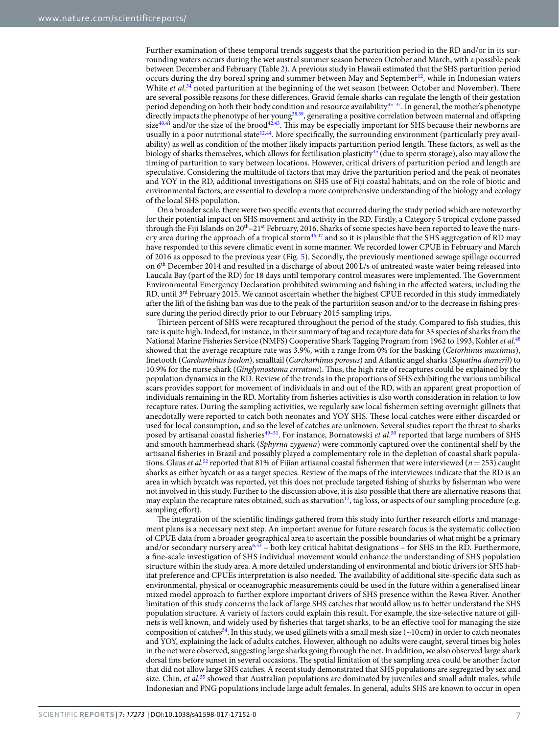Further examination of these temporal trends suggests that the parturition period in the RD and/or in its surrounding waters occurs during the wet austral summer season between October and March, with a possible peak between December and February (Table [2\)](#page-3-1). A previous study in Hawaii estimated that the SHS parturition period occurs during the dry boreal spring and summer between May and September<sup>12</sup>, while in Indonesian waters White *et al.*<sup>[34](#page-9-23)</sup> noted parturition at the beginning of the wet season (between October and November). There are several possible reasons for these diferences. Gravid female sharks can regulate the length of their gestation period depending on both their body condition and resource availability<sup>35-[37](#page-9-25)</sup>. In general, the mother's phenotype directly impacts the phenotype of her youn[g38,](#page-9-26)[39,](#page-9-27) generating a positive correlation between maternal and ofspring  $size^{40,41}$  $size^{40,41}$  $size^{40,41}$  and/or the size of the brood<sup>42[,43](#page-9-31)</sup>. This may be especially important for SHS because their newborns are usually in a poor nutritional state<sup>[12](#page-9-1),[44](#page-9-32)</sup>. More specifically, the surrounding environment (particularly prey availability) as well as condition of the mother likely impacts parturition period length. These factors, as well as the biology of sharks themselves, which allows for fertilisation plasticity<sup>45</sup> (due to sperm storage), also may allow the timing of parturition to vary between locations. However, critical drivers of parturition period and length are speculative. Considering the multitude of factors that may drive the parturition period and the peak of neonates and YOY in the RD, additional investigations on SHS use of Fiji coastal habitats, and on the role of biotic and environmental factors, are essential to develop a more comprehensive understanding of the biology and ecology of the local SHS population.

On a broader scale, there were two specifc events that occurred during the study period which are noteworthy for their potential impact on SHS movement and activity in the RD. Firstly, a Category 5 tropical cyclone passed through the Fiji Islands on 20<sup>th</sup>–21<sup>st</sup> February, 2016. Sharks of some species have been reported to leave the nurs-ery area during the approach of a tropical storm<sup>46[,47](#page-9-35)</sup> and so it is plausible that the SHS aggregation of RD may have responded to this severe climatic event in some manner. We recorded lower CPUE in February and March of 2016 as opposed to the previous year (Fig. [5\)](#page-4-0). Secondly, the previously mentioned sewage spillage occurred on 6th December 2014 and resulted in a discharge of about 200 L/s of untreated waste water being released into Laucala Bay (part of the RD) for 18 days until temporary control measures were implemented. The Government Environmental Emergency Declaration prohibited swimming and fshing in the afected waters, including the RD, until 3rd February 2015. We cannot ascertain whether the highest CPUE recorded in this study immediately after the lift of the fishing ban was due to the peak of the parturition season and/or to the decrease in fishing pressure during the period directly prior to our February 2015 sampling trips.

Tirteen percent of SHS were recaptured throughout the period of the study. Compared to fsh studies, this rate is quite high. Indeed, for instance, in their summary of tag and recapture data for 33 species of sharks from the National Marine Fisheries Service (NMFS) Cooperative Shark Tagging Program from 1962 to 1993, Kohler *et al*. [48](#page-9-36) showed that the average recapture rate was 3.9%, with a range from 0% for the basking (*Cetorhinus maximus*), fnetooth (*Carcharhinus isodon*), smalltail (*Carcharhinus porosus*) and Atlantic angel sharks (*Squatina dumeril*) to 10.9% for the nurse shark (*Ginglymostoma cirratum*). Tus, the high rate of recaptures could be explained by the population dynamics in the RD. Review of the trends in the proportions of SHS exhibiting the various umbilical scars provides support for movement of individuals in and out of the RD, with an apparent great proportion of individuals remaining in the RD. Mortality from fsheries activities is also worth consideration in relation to low recapture rates. During the sampling activities, we regularly saw local fshermen setting overnight gillnets that anecdotally were reported to catch both neonates and YOY SHS. Tese local catches were either discarded or used for local consumption, and so the level of catches are unknown. Several studies report the threat to sharks posed by artisanal coastal fisheries<sup>49–51</sup>. For instance, Bornatowski *et al.*<sup>[50](#page-10-2)</sup> reported that large numbers of SHS and smooth hammerhead shark (*Sphyrna zygaena*) were commonly captured over the continental shelf by the artisanal fsheries in Brazil and possibly played a complementary role in the depletion of coastal shark populations. Glaus *et al*. [52](#page-10-3) reported that 81% of Fijian artisanal coastal fshermen that were interviewed (*n*=253) caught sharks as either bycatch or as a target species. Review of the maps of the interviewees indicate that the RD is an area in which bycatch was reported, yet this does not preclude targeted fshing of sharks by fsherman who were not involved in this study. Further to the discussion above, it is also possible that there are alternative reasons that may explain the recapture rates obtained, such as starvation<sup>[12](#page-9-1)</sup>, tag loss, or aspects of our sampling procedure (e.g. sampling effort).

The integration of the scientific findings gathered from this study into further research efforts and management plans is a necessary next step. An important avenue for future research focus is the systematic collection of CPUE data from a broader geographical area to ascertain the possible boundaries of what might be a primary and/or secondary nursery area<sup>[6](#page-8-5)[,53](#page-10-4)</sup> – both key critical habitat designations – for SHS in the RD. Furthermore, a fne-scale investigation of SHS individual movement would enhance the understanding of SHS population structure within the study area. A more detailed understanding of environmental and biotic drivers for SHS habitat preference and CPUEs interpretation is also needed. The availability of additional site-specific data such as environmental, physical or oceanographic measurements could be used in the future within a generalised linear mixed model approach to further explore important drivers of SHS presence within the Rewa River. Another limitation of this study concerns the lack of large SHS catches that would allow us to better understand the SHS population structure. A variety of factors could explain this result. For example, the size-selective nature of gillnets is well known, and widely used by fsheries that target sharks, to be an efective tool for managing the size composition of catches<sup>[54](#page-10-5)</sup>. In this study, we used gillnets with a small mesh size ( $\sim$ 10 cm) in order to catch neonates and YOY, explaining the lack of adults catches. However, although no adults were caught, several times big holes in the net were observed, suggesting large sharks going through the net. In addition, we also observed large shark dorsal fins before sunset in several occasions. The spatial limitation of the sampling area could be another factor that did not allow large SHS catches. A recent study demonstrated that SHS populations are segregated by sex and size. Chin, *et al.*<sup>55</sup> showed that Australian populations are dominated by juveniles and small adult males, while Indonesian and PNG populations include large adult females. In general, adults SHS are known to occur in open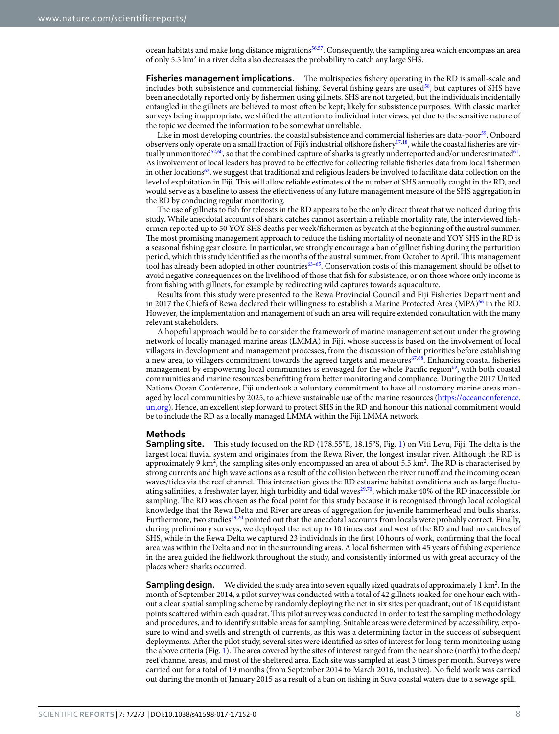ocean habitats and make long distance migrations<sup>[56](#page-10-7),[57](#page-10-8)</sup>. Consequently, the sampling area which encompass an area of only 5.5 km<sup>2</sup> in a river delta also decreases the probability to catch any large SHS.

**Fisheries management implications.** The multispecies fishery operating in the RD is small-scale and includes both subsistence and commercial fishing. Several fishing gears are used<sup>58</sup>, but captures of SHS have been anecdotally reported only by fshermen using gillnets. SHS are not targeted, but the individuals incidentally entangled in the gillnets are believed to most ofen be kept; likely for subsistence purposes. With classic market surveys being inappropriate, we shifed the attention to individual interviews, yet due to the sensitive nature of the topic we deemed the information to be somewhat unreliable.

Like in most developing countries, the coastal subsistence and commercial fisheries are data-poor<sup>[59](#page-10-10)</sup>. Onboard observers only operate on a small fraction of Fiji's industrial offshore fishery<sup>[17](#page-9-6),[18](#page-9-7)</sup>, while the coastal fisheries are vir-tually unmonitored<sup>[52](#page-10-3),[60](#page-10-11)</sup>, so that the combined capture of sharks is greatly underreported and/or underestimated<sup>61</sup>. As involvement of local leaders has proved to be efective for collecting reliable fsheries data from local fshermen in other locations<sup>[62](#page-10-13)</sup>, we suggest that traditional and religious leaders be involved to facilitate data collection on the level of exploitation in Fiji. This will allow reliable estimates of the number of SHS annually caught in the RD, and would serve as a baseline to assess the efectiveness of any future management measure of the SHS aggregation in the RD by conducing regular monitoring.

The use of gillnets to fish for teleosts in the RD appears to be the only direct threat that we noticed during this study. While anecdotal accounts of shark catches cannot ascertain a reliable mortality rate, the interviewed fshermen reported up to 50 YOY SHS deaths per week/fshermen as bycatch at the beginning of the austral summer. The most promising management approach to reduce the fishing mortality of neonate and YOY SHS in the RD is a seasonal fshing gear closure. In particular, we strongly encourage a ban of gillnet fshing during the parturition period, which this study identifed as the months of the austral summer, from October to April. Tis management tool has already been adopted in other countries[63](#page-10-14)–[65](#page-10-15). Conservation costs of this management should be ofset to avoid negative consequences on the livelihood of those that fsh for subsistence, or on those whose only income is from fshing with gillnets, for example by redirecting wild captures towards aquaculture.

Results from this study were presented to the Rewa Provincial Council and Fiji Fisheries Department and in 2017 the Chiefs of Rewa declared their willingness to establish a Marine Protected Area (MPA)<sup>[66](#page-10-16)</sup> in the RD. However, the implementation and management of such an area will require extended consultation with the many relevant stakeholders.

A hopeful approach would be to consider the framework of marine management set out under the growing network of locally managed marine areas (LMMA) in Fiji, whose success is based on the involvement of local villagers in development and management processes, from the discussion of their priorities before establishing a new area, to villagers commitment towards the agreed targets and measures<sup>67[,68](#page-10-18)</sup>. Enhancing coastal fisheries management by empowering local communities is envisaged for the whole Pacific region<sup>69</sup>, with both coastal communities and marine resources beneftting from better monitoring and compliance. During the 2017 United Nations Ocean Conference, Fiji undertook a voluntary commitment to have all customary marine areas managed by local communities by 2025, to achieve sustainable use of the marine resources [\(https://oceanconference.](https://oceanconference.un.org) [un.org](https://oceanconference.un.org)). Hence, an excellent step forward to protect SHS in the RD and honour this national commitment would be to include the RD as a locally managed LMMA within the Fiji LMMA network.

#### **Methods**

**Sampling site.** This study focused on the RD (178.55°E, 18.15°S, Fig. [1\)](#page-1-0) on Viti Levu, Fiji. The delta is the largest local fuvial system and originates from the Rewa River, the longest insular river. Although the RD is approximately 9 km<sup>2</sup>, the sampling sites only encompassed an area of about 5.5 km<sup>2</sup>. The RD is characterised by strong currents and high wave actions as a result of the collision between the river runoff and the incoming ocean waves/tides via the reef channel. Tis interaction gives the RD estuarine habitat conditions such as large fuctuating salinities, a freshwater layer, high turbidity and tidal waves $29.70$ , which make 40% of the RD inaccessible for sampling. The RD was chosen as the focal point for this study because it is recognised through local ecological knowledge that the Rewa Delta and River are areas of aggregation for juvenile hammerhead and bulls sharks. Furthermore, two studies<sup>19[,20](#page-9-9)</sup> pointed out that the anecdotal accounts from locals were probably correct. Finally, during preliminary surveys, we deployed the net up to 10 times east and west of the RD and had no catches of SHS, while in the Rewa Delta we captured 23 individuals in the frst 10hours of work, confrming that the focal area was within the Delta and not in the surrounding areas. A local fshermen with 45 years of fshing experience in the area guided the feldwork throughout the study, and consistently informed us with great accuracy of the places where sharks occurred.

Sampling design. We divided the study area into seven equally sized quadrats of approximately 1 km<sup>2</sup>. In the month of September 2014, a pilot survey was conducted with a total of 42 gillnets soaked for one hour each without a clear spatial sampling scheme by randomly deploying the net in six sites per quadrant, out of 18 equidistant points scattered within each quadrat. Tis pilot survey was conducted in order to test the sampling methodology and procedures, and to identify suitable areas for sampling. Suitable areas were determined by accessibility, exposure to wind and swells and strength of currents, as this was a determining factor in the success of subsequent deployments. Afer the pilot study, several sites were identifed as sites of interest for long-term monitoring using the above criteria (Fig. [1](#page-1-0)). The area covered by the sites of interest ranged from the near shore (north) to the deep/ reef channel areas, and most of the sheltered area. Each site was sampled at least 3 times per month. Surveys were carried out for a total of 19 months (from September 2014 to March 2016, inclusive). No feld work was carried out during the month of January 2015 as a result of a ban on fshing in Suva coastal waters due to a sewage spill.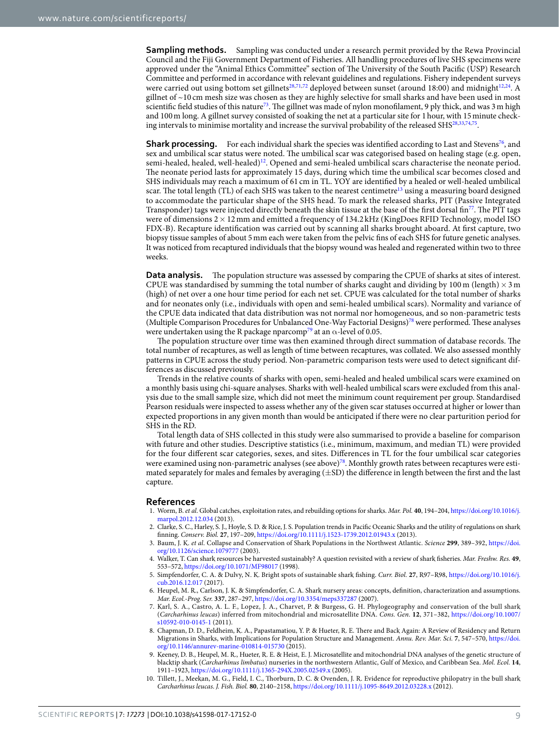**Sampling methods.** Sampling was conducted under a research permit provided by the Rewa Provincial Council and the Fiji Government Department of Fisheries. All handling procedures of live SHS specimens were approved under the "Animal Ethics Committee" section of The University of the South Pacific (USP) Research Committee and performed in accordance with relevant guidelines and regulations. Fishery independent surveys were carried out using bottom set gillnets<sup>[28](#page-9-17)[,71](#page-10-21)[,72](#page-10-22)</sup> deployed between sunset (around 18:00) and midnight<sup>12[,24](#page-9-13)</sup>. A gillnet of ~10 cm mesh size was chosen as they are highly selective for small sharks and have been used in most scientific field studies of this nature<sup>[73](#page-10-23)</sup>. The gillnet was made of nylon monofilament, 9 ply thick, and was 3 m high and 100m long. A gillnet survey consisted of soaking the net at a particular site for 1hour, with 15minute check-ing intervals to minimise mortality and increase the survival probability of the released SHS<sup>[28,](#page-9-17)[33,](#page-9-22)[74](#page-10-24),[75](#page-10-25)</sup>.

**Shark processing.** For each individual shark the species was identified according to Last and Stevens<sup>[76](#page-10-26)</sup>, and sex and umbilical scar status were noted. The umbilical scar was categorised based on healing stage (e.g. open, semi-healed, healed, well-healed)<sup>[12](#page-9-1)</sup>. Opened and semi-healed umbilical scars characterise the neonate period. The neonate period lasts for approximately 15 days, during which time the umbilical scar becomes closed and SHS individuals may reach a maximum of 61 cm in TL. YOY are identifed by a healed or well-healed umbilical scar. The total length (TL) of each SHS was taken to the nearest centimetre<sup>13</sup> using a measuring board designed to accommodate the particular shape of the SHS head. To mark the released sharks, PIT (Passive Integrated Transponder) tags were injected directly beneath the skin tissue at the base of the first dorsal fin<sup>77</sup>. The PIT tags were of dimensions 2 × 12 mm and emitted a frequency of 134.2 kHz (KingDoes RFID Technology, model ISO FDX-B). Recapture identifcation was carried out by scanning all sharks brought aboard. At frst capture, two biopsy tissue samples of about 5mm each were taken from the pelvic fns of each SHS for future genetic analyses. It was noticed from recaptured individuals that the biopsy wound was healed and regenerated within two to three weeks.

**Data analysis.** The population structure was assessed by comparing the CPUE of sharks at sites of interest. CPUE was standardised by summing the total number of sharks caught and dividing by 100 m (length)  $\times$  3 m (high) of net over a one hour time period for each net set. CPUE was calculated for the total number of sharks and for neonates only (i.e., individuals with open and semi-healed umbilical scars). Normality and variance of the CPUE data indicated that data distribution was not normal nor homogeneous, and so non-parametric tests (Multiple Comparison Procedures for Unbalanced One-Way Factorial Designs)<sup>[78](#page-10-28)</sup> were performed. These analyses were undertaken using the R package nparcomp<sup>79</sup> at an  $\alpha$ -level of 0.05.

The population structure over time was then examined through direct summation of database records. The total number of recaptures, as well as length of time between recaptures, was collated. We also assessed monthly patterns in CPUE across the study period. Non-parametric comparison tests were used to detect signifcant differences as discussed previously.

Trends in the relative counts of sharks with open, semi-healed and healed umbilical scars were examined on a monthly basis using chi-square analyses. Sharks with well-healed umbilical scars were excluded from this analysis due to the small sample size, which did not meet the minimum count requirement per group. Standardised Pearson residuals were inspected to assess whether any of the given scar statuses occurred at higher or lower than expected proportions in any given month than would be anticipated if there were no clear parturition period for SHS in the RD.

Total length data of SHS collected in this study were also summarised to provide a baseline for comparison with future and other studies. Descriptive statistics (i.e., minimum, maximum, and median TL) were provided for the four diferent scar categories, sexes, and sites. Diferences in TL for the four umbilical scar categories were examined using non-parametric analyses (see above)<sup>78</sup>. Monthly growth rates between recaptures were estimated separately for males and females by averaging (±SD) the diference in length between the frst and the last capture.

#### **References**

- <span id="page-8-0"></span>1. Worm, B. *et al*. Global catches, exploitation rates, and rebuilding options for sharks. *Mar. Pol.* **40**, 194–204, [https://doi.org/10.1016/j.](http://dx.doi.org/10.1016/j.marpol.2012.12.034) [marpol.2012.12.034](http://dx.doi.org/10.1016/j.marpol.2012.12.034) (2013).
- <span id="page-8-1"></span>2. Clarke, S. C., Harley, S. J., Hoyle, S. D. & Rice, J. S. Population trends in Pacifc Oceanic Sharks and the utility of regulations on shark fnning. *Conserv. Biol.* **27**, 197–209, [https://doi.org/10.1111/j.1523-1739.2012.01943.x](http://dx.doi.org/10.1111/j.1523-1739.2012.01943.x) (2013).
- <span id="page-8-2"></span>3. Baum, J. K. *et al*. Collapse and Conservation of Shark Populations in the Northwest Atlantic. *Science* **299**, 389–392, [https://doi.](http://dx.doi.org/10.1126/science.1079777) [org/10.1126/science.1079777](http://dx.doi.org/10.1126/science.1079777) (2003).
- <span id="page-8-3"></span>4. Walker, T. Can shark resources be harvested sustainably? A question revisited with a review of shark fsheries. *Mar. Freshw. Res.* **49**, 553–572, [https://doi.org/10.1071/MF98017](http://dx.doi.org/10.1071/MF98017) (1998).
- <span id="page-8-4"></span>5. Simpfendorfer, C. A. & Dulvy, N. K. Bright spots of sustainable shark fshing. *Curr. Biol.* **27**, R97–R98, [https://doi.org/10.1016/j.](http://dx.doi.org/10.1016/j.cub.2016.12.017) [cub.2016.12.017](http://dx.doi.org/10.1016/j.cub.2016.12.017) (2017).
- <span id="page-8-5"></span>6. Heupel, M. R., Carlson, J. K. & Simpfendorfer, C. A. Shark nursery areas: concepts, defnition, characterization and assumptions. *Mar. Ecol.-Prog. Ser.* **337**, 287–297, [https://doi.org/10.3354/meps337287](http://dx.doi.org/10.3354/meps337287) (2007).
- <span id="page-8-6"></span>7. Karl, S. A., Castro, A. L. F., Lopez, J. A., Charvet, P. & Burgess, G. H. Phylogeography and conservation of the bull shark (*Carcharhinus leucas*) inferred from mitochondrial and microsatellite DNA. *Cons. Gen.* **12**, 371–382, [https://doi.org/10.1007/](http://dx.doi.org/10.1007/s10592-010-0145-1) [s10592-010-0145-1](http://dx.doi.org/10.1007/s10592-010-0145-1) (2011).
- <span id="page-8-7"></span>8. Chapman, D. D., Feldheim, K. A., Papastamatiou, Y. P. & Hueter, R. E. There and Back Again: A Review of Residency and Return Migrations in Sharks, with Implications for Population Structure and Management. *Annu. Rev. Mar. Sci.* **7**, 547–570, [https://doi.](http://dx.doi.org/10.1146/annurev-marine-010814-015730) [org/10.1146/annurev-marine-010814-015730](http://dx.doi.org/10.1146/annurev-marine-010814-015730) (2015).
- <span id="page-8-8"></span>9. Keeney, D. B., Heupel, M. R., Hueter, R. E. & Heist, E. J. Microsatellite and mitochondrial DNA analyses of the genetic structure of blacktip shark (*Carcharhinus limbatus*) nurseries in the northwestern Atlantic, Gulf of Mexico, and Caribbean Sea. *Mol. Ecol.* **14**, 1911–1923, [https://doi.org/10.1111/j.1365-294X.2005.02549.x](http://dx.doi.org/10.1111/j.1365-294X.2005.02549.x) (2005).
- <span id="page-8-9"></span>10. Tillett, J., Meekan, M. G., Field, I. C., Torburn, D. C. & Ovenden, J. R. Evidence for reproductive philopatry in the bull shark *Carcharhinus leucas*. *J. Fish. Biol.* **80**, 2140–2158, [https://doi.org/10.1111/j.1095-8649.2012.03228.x](http://dx.doi.org/10.1111/j.1095-8649.2012.03228.x) (2012).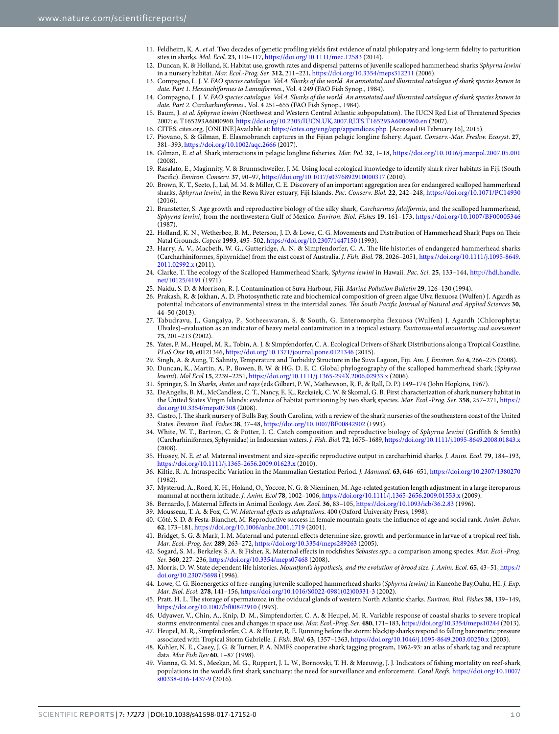- <span id="page-9-0"></span>11. Feldheim, K. A. *et al*. Two decades of genetic profling yields frst evidence of natal philopatry and long-term fdelity to parturition sites in sharks. *Mol. Ecol.* **23**, 110–117, [https://doi.org/10.1111/mec.12583](http://dx.doi.org/10.1111/mec.12583) (2014).
- <span id="page-9-1"></span>12. Duncan, K. & Holland, K. Habitat use, growth rates and dispersal patterns of juvenile scalloped hammerhead sharks *Sphyrna lewini* in a nursery habitat. *Mar. Ecol.-Prog. Ser.* **312**, 211–221, [https://doi.org/10.3354/meps312211](http://dx.doi.org/10.3354/meps312211) (2006).
- <span id="page-9-2"></span>13. Compagno, L. J. V. *FAO species catalogue. Vol.4. Sharks of the world. An annotated and illustrated catalogue of shark species known to date. Part 1. Hexanchiformes to Lamniformes*., Vol. 4 249 (FAO Fish Synop., 1984).
- <span id="page-9-3"></span>14. Compagno, L. J. V. *FAO species catalogue. Vol.4. Sharks of the world. An annotated and illustrated catalogue of shark species known to date. Part 2. Carcharhiniformes*., Vol. 4 251–655 (FAO Fish Synop., 1984).
- <span id="page-9-4"></span>15. Baum, J. *et al*. *Sphyrna lewini* (Northwest and Western Central Atlantic subpopulation). Te IUCN Red List of Treatened Species 2007: e. T165293A6000960. [https://doi.org/10.2305/IUCN.UK.2007.RLTS.T165293A6000960.en](http://dx.doi.org/10.2305/IUCN.UK.2007.RLTS.T165293A6000960.en) (2007).
- <span id="page-9-5"></span>16. CITES. cites.org. [ONLINE]Available at: [https://cites.org/eng/app/appendices.php.](https://cites.org/eng/app/appendices.php) [Accessed 04 February 16], 2015).
- <span id="page-9-6"></span>17. Piovano, S. & Gilman, E. Elasmobranch captures in the Fijian pelagic longline fshery. *Aquat. Conserv.-Mar. Freshw. Ecosyst*. **27**, 381–393, [https://doi.org/10.1002/aqc.2666](http://dx.doi.org/10.1002/aqc.2666) (2017).
- <span id="page-9-7"></span>18. Gilman, E. *et al*. Shark interactions in pelagic longline fsheries. *Mar. Pol.* **32**, 1–18, [https://doi.org/10.1016/j.marpol.2007.05.001](http://dx.doi.org/10.1016/j.marpol.2007.05.001)  $(2008)$
- <span id="page-9-8"></span>19. Rasalato, E., Maginnity, V. & Brunnschweiler, J. M. Using local ecological knowledge to identify shark river habitats in Fiji (South Pacifc). *Environ. Conserv.* **37**, 90–97, [https://doi.org/10.1017/s0376892910000317](http://dx.doi.org/10.1017/s0376892910000317) (2010).
- <span id="page-9-9"></span>20. Brown, K. T., Seeto, J., Lal, M. M. & Miller, C. E. Discovery of an important aggregation area for endangered scalloped hammerhead sharks, *Sphyrna lewini*, in the Rewa River estuary, Fiji Islands. *Pac. Conserv. Biol.* **22**, 242–248, [https://doi.org/10.1071/PC14930](http://dx.doi.org/10.1071/PC14930)  $(2016)$
- <span id="page-9-10"></span>21. Branstetter, S. Age growth and reproductive biology of the silky shark, *Carcharinus falciformis*, and the scalloped hammerhead, *Sphyrna lewini*, from the northwestern Gulf of Mexico. *Environ. Biol. Fishes* **19**, 161–173, [https://doi.org/10.1007/BF00005346](http://dx.doi.org/10.1007/BF00005346) (1987).
- <span id="page-9-11"></span>22. Holland, K. N., Wetherbee, B. M., Peterson, J. D. & Lowe, C. G. Movements and Distribution of Hammerhead Shark Pups on Their Natal Grounds. *Copeia* **1993**, 495–502, [https://doi.org/10.2307/1447150](http://dx.doi.org/10.2307/1447150) (1993).
- <span id="page-9-12"></span>23. Harry, A. V., Macbeth, W. G., Gutteridge, A. N. & Simpfendorfer, C. A. Te life histories of endangered hammerhead sharks (Carcharhiniformes, Sphyrnidae) from the east coast of Australia. *J. Fish. Biol.* **78**, 2026–2051, [https://doi.org/10.1111/j.1095-8649.](http://dx.doi.org/10.1111/j.1095-8649.2011.02992.x) [2011.02992.x](http://dx.doi.org/10.1111/j.1095-8649.2011.02992.x) (2011).
- <span id="page-9-13"></span>24. Clarke, T. Te ecology of the Scalloped Hammerhead Shark, *Sphyrna lewini* in Hawaii. *Pac. Sci*. **25**, 133–144, [http://hdl.handle.](http://hdl.handle.net/10125/4191) [net/10125/4191](http://hdl.handle.net/10125/4191) (1971).
- <span id="page-9-14"></span>25. Naidu, S. D. & Morrison, R. J. Contamination of Suva Harbour, Fiji. *Marine Pollution Bulletin* **29**, 126–130 (1994).
- <span id="page-9-15"></span>26. Prakash, R. & Jokhan, A. D. Photosynthetic rate and biochemical composition of green algae Ulva fexuosa (Wulfen) J. Agardh as potential indicators of environmental stress in the intertidal zones. *The South Pacific Journal of Natural and Applied Sciences* 30, 44–50 (2013).
- <span id="page-9-16"></span>27. Tabudravu, J., Gangaiya, P., Sotheeswaran, S. & South, G. Enteromorpha flexuosa (Wulfen) J. Agardh (Chlorophyta: Ulvales)–evaluation as an indicator of heavy metal contamination in a tropical estuary. *Environmental monitoring and assessment* **75**, 201–213 (2002).
- <span id="page-9-17"></span>28. Yates, P. M., Heupel, M. R., Tobin, A. J. & Simpfendorfer, C. A. Ecological Drivers of Shark Distributions along a Tropical Coastline. *PLoS One* **10**, e0121346, [https://doi.org/10.1371/journal.pone.0121346](http://dx.doi.org/10.1371/journal.pone.0121346) (2015).
- <span id="page-9-18"></span>29. Singh, A. & Aung, T. Salinity, Temperature and Turbidity Structure in the Suva Lagoon, Fiji. *Am. J. Environ. Sci* **4**, 266–275 (2008).
- <span id="page-9-19"></span>30. Duncan, K., Martin, A. P., Bowen, B. W. & HG, D. E. C. Global phylogeography of the scalloped hammerhead shark (*Sphyrna lewini*). *Mol Ecol* **15**, 2239–2251, [https://doi.org/10.1111/j.1365-294X.2006.02933.x](http://dx.doi.org/10.1111/j.1365-294X.2006.02933.x) (2006).
- <span id="page-9-20"></span>31. Springer, S. In *Sharks, skates and rays* (eds Gilbert, P. W., Mathewson, R. F., & Rall, D. P.) 149–174 (John Hopkins, 1967).
- <span id="page-9-21"></span>32. DeAngelis, B. M., McCandless, C. T., Nancy, E. K., Recksiek, C. W. & Skomal, G. B. First characterization of shark nursery habitat in the United States Virgin Islands: evidence of habitat partitioning by two shark species. *Mar. Ecol.-Prog. Ser.* **358**, 257–271, [https://](http://dx.doi.org/10.3354/meps07308) [doi.org/10.3354/meps07308](http://dx.doi.org/10.3354/meps07308) (2008).
- <span id="page-9-22"></span>33. Castro, J. Te shark nursery of Bulls Bay, South Carolina, with a review of the shark nurseries of the southeastern coast of the United States. *Environ. Biol. Fishes* **38**, 37–48, [https://doi.org/10.1007/BF00842902](http://dx.doi.org/10.1007/BF00842902) (1993).
- <span id="page-9-23"></span>34. White, W. T., Bartron, C. & Potter, I. C. Catch composition and reproductive biology of *Sphyrna lewini* (Griffith & Smith) (Carcharhiniformes, Sphyrnidae) in Indonesian waters. *J. Fish. Biol.* **72**, 1675–1689, [https://doi.org/10.1111/j.1095-8649.2008.01843.x](http://dx.doi.org/10.1111/j.1095-8649.2008.01843.x) (2008).
- <span id="page-9-24"></span>35. Hussey, N. E. *et al*. Maternal investment and size-specifc reproductive output in carcharhinid sharks. *J. Anim. Ecol.* **79**, 184–193, [https://doi.org/10.1111/j.1365-2656.2009.01623.x](http://dx.doi.org/10.1111/j.1365-2656.2009.01623.x) (2010).
- 36. Kiltie, R. A. Intraspecifc Variation in the Mammalian Gestation Period. *J. Mammal.* **63**, 646–651, [https://doi.org/10.2307/1380270](http://dx.doi.org/10.2307/1380270) (1982).
- <span id="page-9-25"></span>37. Mysterud, A., Roed, K. H., Holand, O., Yoccoz, N. G. & Nieminen, M. Age-related gestation length adjustment in a large iteroparous mammal at northern latitude. *J. Anim. Ecol* **78**, 1002–1006, [https://doi.org/10.1111/j.1365-2656.2009.01553.x](http://dx.doi.org/10.1111/j.1365-2656.2009.01553.x) (2009).
- <span id="page-9-26"></span>38. Bernardo, J. Maternal Efects in Animal Ecology. *Am. Zool.* **36**, 83–105, [https://doi.org/10.1093/icb/36.2.83](http://dx.doi.org/10.1093/icb/36.2.83) (1996).
- <span id="page-9-27"></span>39. Mousseau, T. A. & Fox, C. W. *Maternal efects as adaptations*. 400 (Oxford University Press, 1998).
- <span id="page-9-28"></span>40. Côté, S. D. & Festa-Bianchet, M. Reproductive success in female mountain goats: the infuence of age and social rank. *Anim. Behav.* **62**, 173–181, [https://doi.org/10.1006/anbe.2001.1719](http://dx.doi.org/10.1006/anbe.2001.1719) (2001).
- <span id="page-9-29"></span>41. Bridget, S. G. & Mark, I. M. Maternal and paternal efects determine size, growth and performance in larvae of a tropical reef fsh. *Mar. Ecol.-Prog. Ser.* **289**, 263–272, [https://doi.org/10.3354/meps289263](http://dx.doi.org/10.3354/meps289263) (2005).
- <span id="page-9-30"></span>42. Sogard, S. M., Berkeley, S. A. & Fisher, R. Maternal efects in rockfshes *Sebastes spp*.: a comparison among species. *Mar. Ecol.-Prog. Ser.* **360**, 227–236, [https://doi.org/10.3354/meps07468](http://dx.doi.org/10.3354/meps07468) (2008).
- <span id="page-9-31"></span>43. Morris, D. W. State dependent life histories. *Mountford's hypothesis, and the evolution of brood size. J. Anim. Ecol.* **65**, 43–51, [https://](http://dx.doi.org/10.2307/5698) [doi.org/10.2307/5698](http://dx.doi.org/10.2307/5698) (1996).
- <span id="page-9-32"></span>44. Lowe, C. G. Bioenergetics of free-ranging juvenile scalloped hammerhead sharks (*Sphyrna lewini)* in Kaneohe Bay,Oahu, HI. *J. Exp. Mar. Biol. Ecol.* **278**, 141–156, [https://doi.org/10.1016/S0022-0981\(02\)00331-3](http://dx.doi.org/10.1016/S0022-0981(02)00331-3) (2002).
- <span id="page-9-33"></span>45. Pratt, H. L. Te storage of spermatozoa in the oviducal glands of western North Atlantic sharks. *Environ. Biol. Fishes* **38**, 139–149, [https://doi.org/10.1007/bf00842910](http://dx.doi.org/10.1007/bf00842910) (1993).
- <span id="page-9-34"></span>46. Udyawer, V., Chin, A., Knip, D. M., Simpfendorfer, C. A. & Heupel, M. R. Variable response of coastal sharks to severe tropical storms: environmental cues and changes in space use. *Mar. Ecol.-Prog. Ser.* **480**, 171–183, [https://doi.org/10.3354/meps10244](http://dx.doi.org/10.3354/meps10244) (2013).
- <span id="page-9-35"></span>47. Heupel, M. R., Simpfendorfer, C. A. & Hueter, R. E. Running before the storm: blacktip sharks respond to falling barometric pressure associated with Tropical Storm Gabrielle. *J. Fish. Biol.* **63**, 1357–1363, [https://doi.org/10.1046/j.1095-8649.2003.00250.x](http://dx.doi.org/10.1046/j.1095-8649.2003.00250.x) (2003).
- <span id="page-9-36"></span>48. Kohler, N. E., Casey, J. G. & Turner, P. A. NMFS cooperative shark tagging program, 1962-93: an atlas of shark tag and recapture data. *Mar Fish Rev* **60**, 1–87 (1998).
- <span id="page-9-37"></span>49. Vianna, G. M. S., Meekan, M. G., Ruppert, J. L. W., Bornovski, T. H. & Meeuwig, J. J. Indicators of fshing mortality on reef-shark populations in the world's frst shark sanctuary: the need for surveillance and enforcement. *Coral Reefs*. [https://doi.org/10.1007/](http://dx.doi.org/10.1007/s00338-016-1437-9) [s00338-016-1437-9](http://dx.doi.org/10.1007/s00338-016-1437-9) (2016).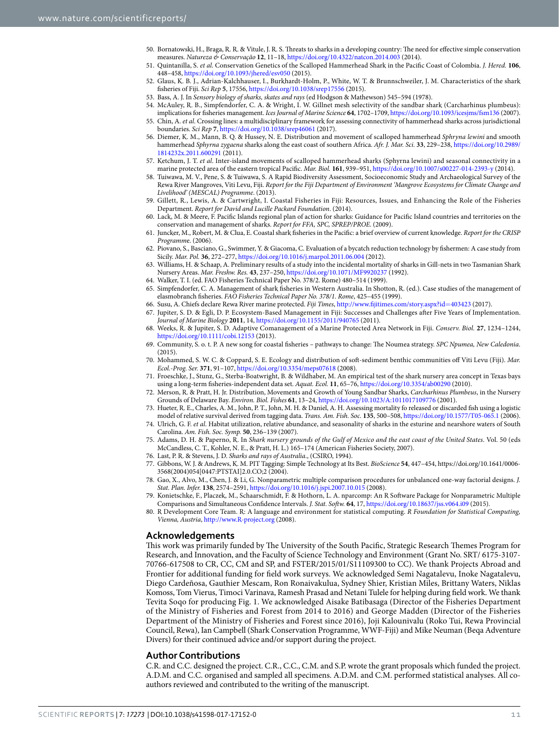- <span id="page-10-2"></span>50. Bornatowski, H., Braga, R. R. & Vitule, J. R. S. Treats to sharks in a developing country: Te need for efective simple conservation measures. *Natureza & Conservação* **12**, 11–18, [https://doi.org/10.4322/natcon.2014.003](http://dx.doi.org/10.4322/natcon.2014.003) (2014).
- <span id="page-10-1"></span>51. Quintanilla, S. *et al*. Conservation Genetics of the Scalloped Hammerhead Shark in the Pacifc Coast of Colombia. *J. Hered.* **106**, 448–458, [https://doi.org/10.1093/jhered/esv050](http://dx.doi.org/10.1093/jhered/esv050) (2015).
- <span id="page-10-3"></span>52. Glaus, K. B. J., Adrian-Kalchhauser, I., Burkhardt-Holm, P., White, W. T. & Brunnschweiler, J. M. Characteristics of the shark fsheries of Fiji. *Sci Rep* **5**, 17556, [https://doi.org/10.1038/srep17556](http://dx.doi.org/10.1038/srep17556) (2015).
- <span id="page-10-4"></span>53. Bass, A. J. In *Sensory biology of sharks, skates and rays* (ed Hodgson & Mathewson) 545–594 (1978).
- <span id="page-10-5"></span>54. McAuley, R. B., Simpfendorfer, C. A. & Wright, I. W. Gillnet mesh selectivity of the sandbar shark (Carcharhinus plumbeus): implications for fsheries management. *Ices Journal of Marine Science* **64**, 1702–1709, [https://doi.org/10.1093/icesjms/fsm136](http://dx.doi.org/10.1093/icesjms/fsm136) (2007).
- <span id="page-10-6"></span>55. Chin, A. *et al*. Crossing lines: a multidisciplinary framework for assessing connectivity of hammerhead sharks across jurisdictional boundaries. *Sci Rep* **7**, [https://doi.org/10.1038/srep46061](http://dx.doi.org/10.1038/srep46061) (2017).
- <span id="page-10-7"></span>56. Diemer, K. M., Mann, B. Q. & Hussey, N. E. Distribution and movement of scalloped hammerhead *Sphryna lewini* and smooth hammerhead *Sphyrna zygaena* sharks along the east coast of southern Africa. *Afr. J. Mar. Sci.* **33**, 229–238, [https://doi.org/10.2989/](http://dx.doi.org/10.2989/1814232x.2011.600291) [1814232x.2011.600291](http://dx.doi.org/10.2989/1814232x.2011.600291) (2011).
- <span id="page-10-8"></span>57. Ketchum, J. T. *et al*. Inter-island movements of scalloped hammerhead sharks (Sphyrna lewini) and seasonal connectivity in a marine protected area of the eastern tropical Pacifc. *Mar. Biol.* **161**, 939–951, [https://doi.org/10.1007/s00227-014-2393-y](http://dx.doi.org/10.1007/s00227-014-2393-y) (2014).
- <span id="page-10-9"></span>58. Tuiwawa, M. V., Pene, S. & Tuiwawa, S. A Rapid Biodiversity Assessment, Socioeconomic Study and Archaeological Survey of the Rewa River Mangroves, Viti Levu, Fiji. *Report for the Fiji Department of Environment 'Mangrove Ecosystems for Climate Change and Livelihood' (MESCAL) Programme*. (2013).
- <span id="page-10-10"></span>59. Gillett, R., Lewis, A. & Cartwright, I. Coastal Fisheries in Fiji: Resources, Issues, and Enhancing the Role of the Fisheries Department. *Report for David and Lucille Packard Foundation*. (2014).
- <span id="page-10-11"></span>60. Lack, M. & Meere, F. Pacifc Islands regional plan of action for sharks: Guidance for Pacifc Island countries and territories on the conservation and management of sharks. *Report for FFA, SPC, SPREP/PROE*. (2009).
- <span id="page-10-12"></span>61. Juncker, M., Robert, M. & Clua, E. Coastal shark fsheries in the Pacifc: a brief overview of current knowledge. *Report for the CRISP Programm*e. (2006).
- <span id="page-10-13"></span>62. Piovano, S., Basciano, G., Swimmer, Y. & Giacoma, C. Evaluation of a bycatch reduction technology by fshermen: A case study from Sicily. *Mar. Pol.* **36**, 272–277, [https://doi.org/10.1016/j.marpol.2011.06.004](http://dx.doi.org/10.1016/j.marpol.2011.06.004) (2012).
- <span id="page-10-14"></span>63. Williams, H. & Schaap, A. Preliminary results of a study into the incidental mortality of sharks in Gill-nets in two Tasmanian Shark Nursery Areas. *Mar. Freshw. Res.* **43**, 237–250, [https://doi.org/10.1071/MF9920237](http://dx.doi.org/10.1071/MF9920237) (1992).
- 64. Walker, T. I. (ed. FAO Fisheries Technical Paper No. 378/2. Rome) 480–514 (1999).
- <span id="page-10-15"></span>65. Simpfendorfer, C. A. Management of shark fsheries in Western Australia. In Shotton, R. (ed.). Case studies of the management of elasmobranch fsheries. *FAO Fisheries Technical Paper No. 378/1. Rome*, 425–455 (1999).
- <span id="page-10-16"></span>66. Susu, A. Chiefs declare Rewa River marine protected. *Fiji Times*, [http://www.fjitimes.com/story.aspx?id](http://www.fijitimes.com/story.aspx?id=403423)=403423 (2017).
- <span id="page-10-17"></span>Jupiter, S. D. & Egli, D. P. Ecosystem-Based Management in Fiji: Successes and Challenges after Five Years of Implementation. *Journal of Marine Biology* **2011**, 14, [https://doi.org/10.1155/2011/940765](http://dx.doi.org/10.1155/2011/940765) (2011).
- <span id="page-10-18"></span>68. Weeks, R. & Jupiter, S. D. Adaptive Comanagement of a Marine Protected Area Network in Fiji. *Conserv. Biol.* **27**, 1234–1244, [https://doi.org/10.1111/cobi.12153](http://dx.doi.org/10.1111/cobi.12153) (2013).
- <span id="page-10-19"></span>69. Community, S. o. t. P. A new song for coastal fsheries – pathways to change: Te Noumea strategy. *SPC Npumea, New Caledonia*.  $(2015).$
- <span id="page-10-20"></span>70. Mohammed, S. W. C. & Coppard, S. E. Ecology and distribution of sof-sediment benthic communities of Viti Levu (Fiji). *Mar. Ecol.-Prog. Ser.* **371**, 91–107, [https://doi.org/10.3354/meps07618](http://dx.doi.org/10.3354/meps07618) (2008).
- <span id="page-10-21"></span>71. Froeschke, J., Stunz, G., Sterba-Boatwright, B. & Wildhaber, M. An empirical test of the shark nursery area concept in Texas bays using a long-term fsheries-independent data set. *Aquat. Ecol.* **11**, 65–76, [https://doi.org/10.3354/ab00290](http://dx.doi.org/10.3354/ab00290) (2010).
- <span id="page-10-22"></span>72. Merson, R. & Pratt, H. Jr. Distribution, Movements and Growth of Young Sandbar Sharks, *Carcharhinus Plumbeus*, in the Nursery Grounds of Delaware Bay. *Environ. Biol. Fishes* **61**, 13–24, [https://doi.org/10.1023/A:1011017109776](http://dx.doi.org/10.1023/A:1011017109776) (2001).
- <span id="page-10-23"></span>73. Hueter, R. E., Charles, A. M., John, P. T., John, M. H. & Daniel, A. H. Assessing mortality fo released or discarded fsh using a logistic model of relative survival derived from tagging data. *Trans. Am. Fish. Soc.* **135**, 500–508, [https://doi.org/10.1577/T05-065.1](http://dx.doi.org/10.1577/T05-065.1) (2006).
- <span id="page-10-24"></span>74. Ulrich, G. F. *et al*. Habitat utilization, relative abundance, and seasonality of sharks in the esturine and nearshore waters of South Carolina. *Am. Fish. Soc. Symp.* **50**, 236–139 (2007).
- <span id="page-10-25"></span>75. Adams, D. H. & Paperno, R. In *Shark nursery grounds of the Gulf of Mexico and the east coast of the United States*. Vol. 50 (eds McCandless, C. T., Kohler, N. E., & Pratt, H. L.) 165–174 (American Fisheries Society, 2007).
- <span id="page-10-26"></span>76. Last, P. R. & Stevens, J. D. *Sharks and rays of Australia*., (CSIRO, 1994).
- <span id="page-10-27"></span>77. Gibbons, W. J. & Andrews, K. M. PIT Tagging: Simple Technology at Its Best. *BioScience* **54**, 447–454, https://doi.org/10.1641/0006- 3568(2004)054[0447:PTSTAI]2.0.CO;2 (2004).
- <span id="page-10-28"></span>78. Gao, X., Alvo, M., Chen, J. & Li, G. Nonparametric multiple comparison procedures for unbalanced one-way factorial designs. *J. Stat. Plan. Infer.* **138**, 2574–2591, [https://doi.org/10.1016/j.jspi.2007.10.015](http://dx.doi.org/10.1016/j.jspi.2007.10.015) (2008).
- <span id="page-10-29"></span>79. Konietschke, F., Placzek, M., Schaarschmidt, F. & Hothorn, L. A. nparcomp: An R Sofware Package for Nonparametric Multiple Comparisons and Simultaneous Confdence Intervals. *J. Stat. Sofw.* **64**, 17, [https://doi.org/10.18637/jss.v064.i09](http://dx.doi.org/10.18637/jss.v064.i09) (2015).
- <span id="page-10-0"></span>80. R Development Core Team. R: A language and environment for statistical computing. *R Foundation for Statistical Computing, Vienna, Austria*,<http://www.R-project.org>(2008).

#### **Acknowledgements**

This work was primarily funded by The University of the South Pacific, Strategic Research Themes Program for Research, and Innovation, and the Faculty of Science Technology and Environment (Grant No. SRT/ 6175-3107- 70766-617508 to CR, CC, CM and SP, and FSTER/2015/01/S11109300 to CC). We thank Projects Abroad and Frontier for additional funding for feld work surveys. We acknowledged Semi Nagatalevu, Inoke Nagatalevu, Diego Cardeñosa, Gauthier Mescam, Ron Ronaivakulua, Sydney Shier, Kristian Miles, Brittany Waters, Niklas Komoss, Tom Vierus, Timoci Varinava, Ramesh Prasad and Netani Tulele for helping during feld work. We thank Tevita Soqo for producing Fig. 1. We acknowledged Aisake Batibasaga (Director of the Fisheries Department of the Ministry of Fisheries and Forest from 2014 to 2016) and George Madden (Director of the Fisheries Department of the Ministry of Fisheries and Forest since 2016), Joji Kalounivalu (Roko Tui, Rewa Provincial Council, Rewa), Ian Campbell (Shark Conservation Programme, WWF-Fiji) and Mike Neuman (Beqa Adventure Divers) for their continued advice and/or support during the project.

#### **Author Contributions**

C.R. and C.C. designed the project. C.R., C.C., C.M. and S.P. wrote the grant proposals which funded the project. A.D.M. and C.C. organised and sampled all specimens. A.D.M. and C.M. performed statistical analyses. All coauthors reviewed and contributed to the writing of the manuscript.